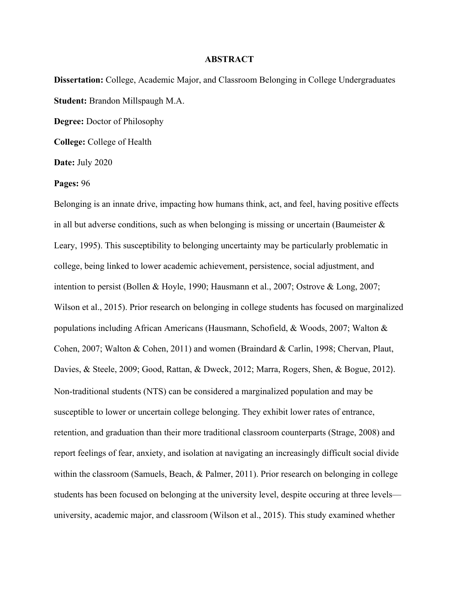## **ABSTRACT**

**Dissertation:** College, Academic Major, and Classroom Belonging in College Undergraduates **Student:** Brandon Millspaugh M.A.

**Degree:** Doctor of Philosophy

**College:** College of Health

**Date:** July 2020

**Pages:** 96

Belonging is an innate drive, impacting how humans think, act, and feel, having positive effects in all but adverse conditions, such as when belonging is missing or uncertain (Baumeister  $\&$ Leary, 1995). This susceptibility to belonging uncertainty may be particularly problematic in college, being linked to lower academic achievement, persistence, social adjustment, and intention to persist (Bollen & Hoyle, 1990; Hausmann et al., 2007; Ostrove & Long, 2007; Wilson et al., 2015). Prior research on belonging in college students has focused on marginalized populations including African Americans (Hausmann, Schofield, & Woods, 2007; Walton & Cohen, 2007; Walton & Cohen, 2011) and women (Braindard & Carlin, 1998; Chervan, Plaut, Davies, & Steele, 2009; Good, Rattan, & Dweck, 2012; Marra, Rogers, Shen, & Bogue, 2012). Non-traditional students (NTS) can be considered a marginalized population and may be susceptible to lower or uncertain college belonging. They exhibit lower rates of entrance, retention, and graduation than their more traditional classroom counterparts (Strage, 2008) and report feelings of fear, anxiety, and isolation at navigating an increasingly difficult social divide within the classroom (Samuels, Beach, & Palmer, 2011). Prior research on belonging in college students has been focused on belonging at the university level, despite occuring at three levels university, academic major, and classroom (Wilson et al., 2015). This study examined whether